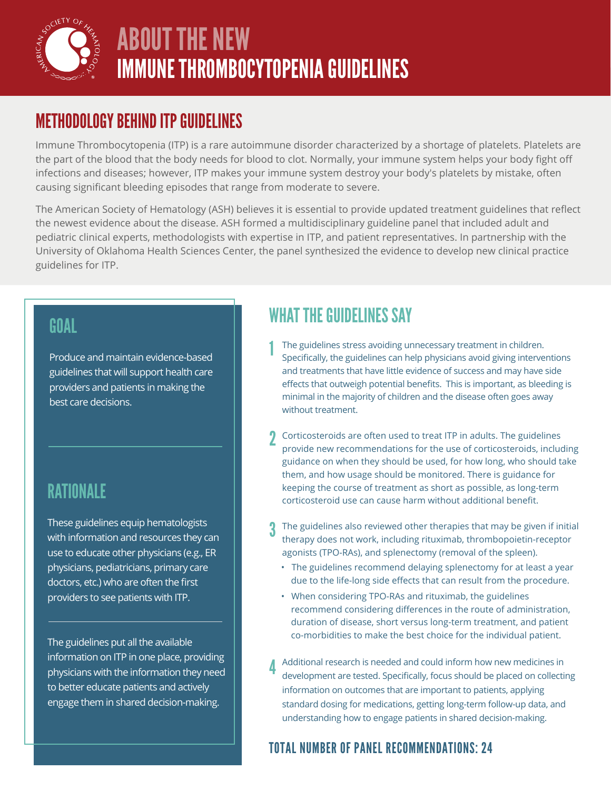

# ABOUT THE NEW IMMUNE THROMBOCYTOPENIA GUIDELINES

### METHODOLOGY BEHIND ITP GUIDELINES

Immune Thrombocytopenia (ITP) is a rare autoimmune disorder characterized by a shortage of platelets. Platelets are the part of the blood that the body needs for blood to clot. Normally, your immune system helps your body fight off infections and diseases; however, ITP makes your immune system destroy your body's platelets by mistake, often causing significant bleeding episodes that range from moderate to severe.

The American Society of Hematology (ASH) believes it is essential to provide updated treatment guidelines that reflect the newest evidence about the disease. ASH formed a multidisciplinary guideline panel that included adult and pediatric clinical experts, methodologists with expertise in ITP, and patient representatives. In partnership with the University of Oklahoma Health Sciences Center, the panel synthesized the evidence to develop new clinical practice guidelines for ITP.

#### GOAL

Produce and maintain evidence-based guidelines that will support health care providers and patients in making the best care decisions.

### **RATIONALE**

These guidelines equip hematologists with information and resources they can use to educate other physicians (e.g., ER physicians, pediatricians, primary care doctors, etc.) who are often the first providers to see patients with ITP.

The guidelines put all the available information on ITP in one place, providing physicians with the information they need to better educate patients and actively engage them in shared decision-making.

# WHAT THE GUIDELINES SAY

- The guidelines stress avoiding unnecessary treatment in children. Specifically, the guidelines can help physicians avoid giving interventions and treatments that have little evidence of success and may have side effects that outweigh potential benefits. This is important, as bleeding is minimal in the majority of children and the disease often goes away without treatment. 1
- Corticosteroids are often used to treat ITP in adults. The guidelines provide new recommendations for the use of corticosteroids, including guidance on when they should be used, for how long, who should take them, and how usage should be monitored. There is guidance for keeping the course of treatment as short as possible, as long-term corticosteroid use can cause harm without additional benefit. 2
- The guidelines also reviewed other therapies that may be given if initial therapy does not work, including rituximab, thrombopoietin-receptor agonists (TPO-RAs), and splenectomy (removal of the spleen). 3
	- The guidelines recommend delaying splenectomy for at least a year due to the life-long side effects that can result from the procedure.
	- When considering TPO-RAs and rituximab, the guidelines recommend considering differences in the route of administration, duration of disease, short versus long-term treatment, and patient co-morbidities to make the best choice for the individual patient.
- Additional research is needed and could inform how new medicines in development are tested. Specifically, focus should be placed on collecting information on outcomes that are important to patients, applying standard dosing for medications, getting long-term follow-up data, and understanding how to engage patients in shared decision-making. 4

#### TOTAL NUMBER OF PANEL RECOMMENDATIONS: 24